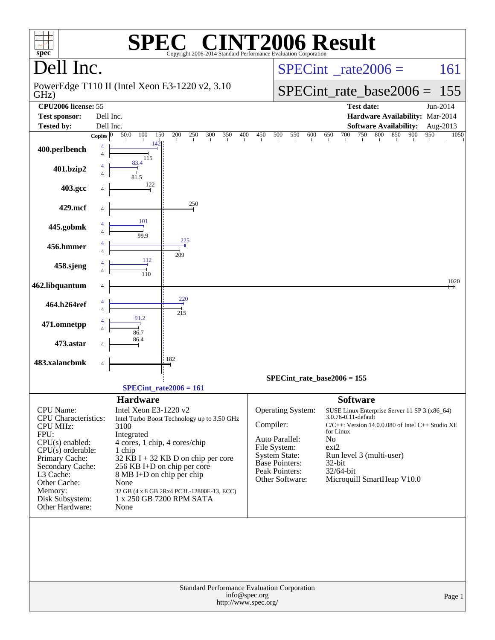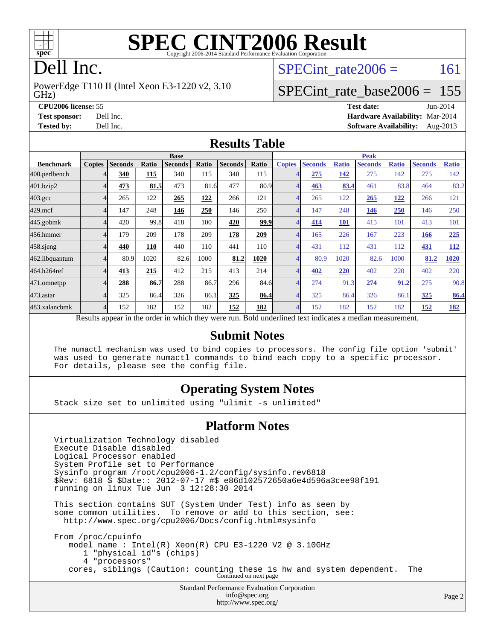

# **[SPEC CINT2006 Result](http://www.spec.org/auto/cpu2006/Docs/result-fields.html#SPECCINT2006Result)**

# Dell Inc.

GHz) PowerEdge T110 II (Intel Xeon E3-1220 v2, 3.10 SPECint rate $2006 = 161$ 

## [SPECint\\_rate\\_base2006 =](http://www.spec.org/auto/cpu2006/Docs/result-fields.html#SPECintratebase2006) 155

**[CPU2006 license:](http://www.spec.org/auto/cpu2006/Docs/result-fields.html#CPU2006license)** 55 **[Test date:](http://www.spec.org/auto/cpu2006/Docs/result-fields.html#Testdate)** Jun-2014 **[Test sponsor:](http://www.spec.org/auto/cpu2006/Docs/result-fields.html#Testsponsor)** Dell Inc. **[Hardware Availability:](http://www.spec.org/auto/cpu2006/Docs/result-fields.html#HardwareAvailability)** Mar-2014 **[Tested by:](http://www.spec.org/auto/cpu2006/Docs/result-fields.html#Testedby)** Dell Inc. **[Software Availability:](http://www.spec.org/auto/cpu2006/Docs/result-fields.html#SoftwareAvailability)** Aug-2013

#### **[Results Table](http://www.spec.org/auto/cpu2006/Docs/result-fields.html#ResultsTable)**

|                    | <b>Base</b>   |                |       |                                                                                                          |       |                |             | <b>Peak</b>    |                |              |                |              |                |              |
|--------------------|---------------|----------------|-------|----------------------------------------------------------------------------------------------------------|-------|----------------|-------------|----------------|----------------|--------------|----------------|--------------|----------------|--------------|
| <b>Benchmark</b>   | <b>Copies</b> | <b>Seconds</b> | Ratio | <b>Seconds</b>                                                                                           | Ratio | <b>Seconds</b> | Ratio       | <b>Copies</b>  | <b>Seconds</b> | <b>Ratio</b> | <b>Seconds</b> | <b>Ratio</b> | <b>Seconds</b> | <b>Ratio</b> |
| 400.perlbench      |               | 340            | 115   | 340                                                                                                      | 115   | 340            | 115         |                | 275            | 142          | 275            | 142          | 275            | 142          |
| 401.bzip2          |               | 473            | 81.5  | 473                                                                                                      | 81.6  | 477            | 80.9        | $\overline{4}$ | 463            | 83.4         | 461            | 83.8         | 464            | 83.2         |
| $403.\mathrm{gcc}$ |               | 265            | 122   | 265                                                                                                      | 122   | 266            | 121         | $\overline{4}$ | 265            | 122          | 265            | <u>122</u>   | 266            | 121          |
| $429$ .mcf         |               | 147            | 248   | 146                                                                                                      | 250   | 146            | 250         | $\overline{4}$ | 147            | 248          | 146            | 250          | 146            | 250          |
| $445$ .gobm $k$    |               | 420            | 99.8  | 418                                                                                                      | 100   | 420            | <u>99.9</u> | $\overline{4}$ | 414            | <b>101</b>   | 415            | 101          | 413            | 101          |
| 456.hmmer          |               | 179            | 209   | 178                                                                                                      | 209   | 178            | 209         | $\overline{4}$ | 165            | 226          | 167            | 223          | 166            | 225          |
| $458$ .sjeng       |               | 440            | 110   | 440                                                                                                      | 110   | 441            | 110         | $\overline{4}$ | 431            | 112          | 431            | 112          | 431            | <b>112</b>   |
| 462.libquantum     |               | 80.9           | 1020  | 82.6                                                                                                     | 1000  | 81.2           | 1020        | 4              | 80.9           | 1020         | 82.6           | 1000         | 81.2           | 1020         |
| 464.h264ref        |               | 413            | 215   | 412                                                                                                      | 215   | 413            | 214         | $\overline{4}$ | 402            | 220          | 402            | 220          | 402            | 220          |
| 471.omnetpp        |               | 288            | 86.7  | 288                                                                                                      | 86.7  | 296            | 84.6        | 4              | 274            | 91.3         | 274            | 91.2         | 275            | 90.8         |
| 473.astar          |               | 325            | 86.4  | 326                                                                                                      | 86.1  | 325            | 86.4        | $\overline{4}$ | 325            | 86.4         | 326            | 86.1         | 325            | 86.4         |
| 483.xalancbmk      |               | 152            | 182   | 152                                                                                                      | 182   | 152            | 182         | $\overline{4}$ | 152            | 182          | 152            | 182          | 152            | <u>182</u>   |
|                    |               |                |       | Results appear in the order in which they were run. Bold underlined text indicates a median measurement. |       |                |             |                |                |              |                |              |                |              |

#### **[Submit Notes](http://www.spec.org/auto/cpu2006/Docs/result-fields.html#SubmitNotes)**

 The numactl mechanism was used to bind copies to processors. The config file option 'submit' was used to generate numactl commands to bind each copy to a specific processor. For details, please see the config file.

#### **[Operating System Notes](http://www.spec.org/auto/cpu2006/Docs/result-fields.html#OperatingSystemNotes)**

Stack size set to unlimited using "ulimit -s unlimited"

#### **[Platform Notes](http://www.spec.org/auto/cpu2006/Docs/result-fields.html#PlatformNotes)**

Standard Performance Evaluation Corporation [info@spec.org](mailto:info@spec.org) Virtualization Technology disabled Execute Disable disabled Logical Processor enabled System Profile set to Performance Sysinfo program /root/cpu2006-1.2/config/sysinfo.rev6818 \$Rev: 6818 \$ \$Date:: 2012-07-17 #\$ e86d102572650a6e4d596a3cee98f191 running on linux Tue Jun 3 12:28:30 2014 This section contains SUT (System Under Test) info as seen by some common utilities. To remove or add to this section, see: <http://www.spec.org/cpu2006/Docs/config.html#sysinfo> From /proc/cpuinfo model name : Intel(R) Xeon(R) CPU E3-1220 V2 @ 3.10GHz 1 "physical id"s (chips) 4 "processors" cores, siblings (Caution: counting these is hw and system dependent. The Continued on next page

<http://www.spec.org/>

Page 2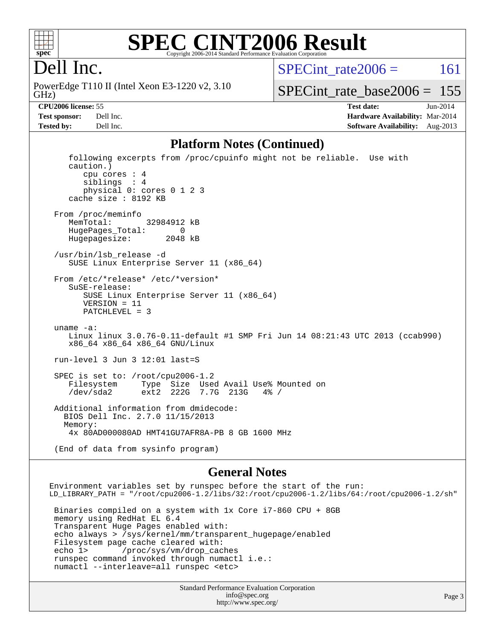

#### **[SPEC CINT2006 Result](http://www.spec.org/auto/cpu2006/Docs/result-fields.html#SPECCINT2006Result)** Copyright 2006-2014 Standard Performance Evaluation C

## Dell Inc.

GHz) PowerEdge T110 II (Intel Xeon E3-1220 v2, 3.10 SPECint rate $2006 = 161$ 

[SPECint\\_rate\\_base2006 =](http://www.spec.org/auto/cpu2006/Docs/result-fields.html#SPECintratebase2006) 155

**[CPU2006 license:](http://www.spec.org/auto/cpu2006/Docs/result-fields.html#CPU2006license)** 55 **[Test date:](http://www.spec.org/auto/cpu2006/Docs/result-fields.html#Testdate)** Jun-2014 **[Test sponsor:](http://www.spec.org/auto/cpu2006/Docs/result-fields.html#Testsponsor)** Dell Inc. **[Hardware Availability:](http://www.spec.org/auto/cpu2006/Docs/result-fields.html#HardwareAvailability)** Mar-2014 **[Tested by:](http://www.spec.org/auto/cpu2006/Docs/result-fields.html#Testedby)** Dell Inc. **[Software Availability:](http://www.spec.org/auto/cpu2006/Docs/result-fields.html#SoftwareAvailability)** Aug-2013

Page 3

#### **[Platform Notes \(Continued\)](http://www.spec.org/auto/cpu2006/Docs/result-fields.html#PlatformNotes)**

 following excerpts from /proc/cpuinfo might not be reliable. Use with caution.) cpu cores : 4 siblings : 4 physical 0: cores 0 1 2 3 cache size : 8192 KB From /proc/meminfo MemTotal: 32984912 kB HugePages\_Total: 0<br>Hugepagesize: 2048 kB Hugepagesize: /usr/bin/lsb\_release -d SUSE Linux Enterprise Server 11 (x86\_64) From /etc/\*release\* /etc/\*version\* SuSE-release: SUSE Linux Enterprise Server 11 (x86\_64) VERSION = 11 PATCHLEVEL = 3 uname -a: Linux linux 3.0.76-0.11-default #1 SMP Fri Jun 14 08:21:43 UTC 2013 (ccab990) x86\_64 x86\_64 x86\_64 GNU/Linux run-level 3 Jun 3 12:01 last=S SPEC is set to: /root/cpu2006-1.2<br>Filesystem Type Size Use Filesystem Type Size Used Avail Use% Mounted on /dev/sda2 ext2 222G 7.7G 213G 4% / Additional information from dmidecode: BIOS Dell Inc. 2.7.0 11/15/2013 Memory: 4x 80AD000080AD HMT41GU7AFR8A-PB 8 GB 1600 MHz (End of data from sysinfo program)

#### **[General Notes](http://www.spec.org/auto/cpu2006/Docs/result-fields.html#GeneralNotes)**

Standard Performance Evaluation Corporation [info@spec.org](mailto:info@spec.org) Environment variables set by runspec before the start of the run: LD\_LIBRARY\_PATH = "/root/cpu2006-1.2/libs/32:/root/cpu2006-1.2/libs/64:/root/cpu2006-1.2/sh" Binaries compiled on a system with 1x Core i7-860 CPU + 8GB memory using RedHat EL 6.4 Transparent Huge Pages enabled with: echo always > /sys/kernel/mm/transparent\_hugepage/enabled Filesystem page cache cleared with: echo 1> /proc/sys/vm/drop\_caches runspec command invoked through numactl i.e.: numactl --interleave=all runspec <etc>

<http://www.spec.org/>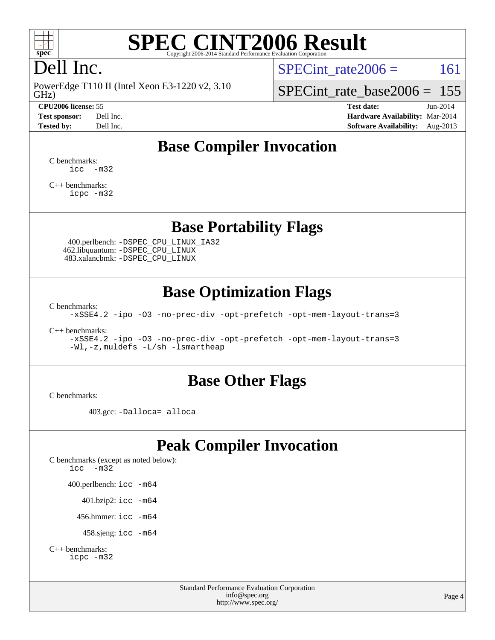

# **[SPEC CINT2006 Result](http://www.spec.org/auto/cpu2006/Docs/result-fields.html#SPECCINT2006Result)**

# Dell Inc.

GHz) PowerEdge T110 II (Intel Xeon E3-1220 v2, 3.10

SPECint rate $2006 = 161$ 

[SPECint\\_rate\\_base2006 =](http://www.spec.org/auto/cpu2006/Docs/result-fields.html#SPECintratebase2006) 155

**[CPU2006 license:](http://www.spec.org/auto/cpu2006/Docs/result-fields.html#CPU2006license)** 55 **[Test date:](http://www.spec.org/auto/cpu2006/Docs/result-fields.html#Testdate)** Jun-2014 **[Test sponsor:](http://www.spec.org/auto/cpu2006/Docs/result-fields.html#Testsponsor)** Dell Inc. **[Hardware Availability:](http://www.spec.org/auto/cpu2006/Docs/result-fields.html#HardwareAvailability)** Mar-2014 **[Tested by:](http://www.spec.org/auto/cpu2006/Docs/result-fields.html#Testedby)** Dell Inc. **[Software Availability:](http://www.spec.org/auto/cpu2006/Docs/result-fields.html#SoftwareAvailability)** Aug-2013

#### **[Base Compiler Invocation](http://www.spec.org/auto/cpu2006/Docs/result-fields.html#BaseCompilerInvocation)**

[C benchmarks](http://www.spec.org/auto/cpu2006/Docs/result-fields.html#Cbenchmarks): [icc -m32](http://www.spec.org/cpu2006/results/res2014q3/cpu2006-20140616-29920.flags.html#user_CCbase_intel_icc_5ff4a39e364c98233615fdd38438c6f2)

[C++ benchmarks:](http://www.spec.org/auto/cpu2006/Docs/result-fields.html#CXXbenchmarks) [icpc -m32](http://www.spec.org/cpu2006/results/res2014q3/cpu2006-20140616-29920.flags.html#user_CXXbase_intel_icpc_4e5a5ef1a53fd332b3c49e69c3330699)

#### **[Base Portability Flags](http://www.spec.org/auto/cpu2006/Docs/result-fields.html#BasePortabilityFlags)**

 400.perlbench: [-DSPEC\\_CPU\\_LINUX\\_IA32](http://www.spec.org/cpu2006/results/res2014q3/cpu2006-20140616-29920.flags.html#b400.perlbench_baseCPORTABILITY_DSPEC_CPU_LINUX_IA32) 462.libquantum: [-DSPEC\\_CPU\\_LINUX](http://www.spec.org/cpu2006/results/res2014q3/cpu2006-20140616-29920.flags.html#b462.libquantum_baseCPORTABILITY_DSPEC_CPU_LINUX) 483.xalancbmk: [-DSPEC\\_CPU\\_LINUX](http://www.spec.org/cpu2006/results/res2014q3/cpu2006-20140616-29920.flags.html#b483.xalancbmk_baseCXXPORTABILITY_DSPEC_CPU_LINUX)

#### **[Base Optimization Flags](http://www.spec.org/auto/cpu2006/Docs/result-fields.html#BaseOptimizationFlags)**

[C benchmarks](http://www.spec.org/auto/cpu2006/Docs/result-fields.html#Cbenchmarks):

[-xSSE4.2](http://www.spec.org/cpu2006/results/res2014q3/cpu2006-20140616-29920.flags.html#user_CCbase_f-xSSE42_f91528193cf0b216347adb8b939d4107) [-ipo](http://www.spec.org/cpu2006/results/res2014q3/cpu2006-20140616-29920.flags.html#user_CCbase_f-ipo) [-O3](http://www.spec.org/cpu2006/results/res2014q3/cpu2006-20140616-29920.flags.html#user_CCbase_f-O3) [-no-prec-div](http://www.spec.org/cpu2006/results/res2014q3/cpu2006-20140616-29920.flags.html#user_CCbase_f-no-prec-div) [-opt-prefetch](http://www.spec.org/cpu2006/results/res2014q3/cpu2006-20140616-29920.flags.html#user_CCbase_f-opt-prefetch) [-opt-mem-layout-trans=3](http://www.spec.org/cpu2006/results/res2014q3/cpu2006-20140616-29920.flags.html#user_CCbase_f-opt-mem-layout-trans_a7b82ad4bd7abf52556d4961a2ae94d5)

[C++ benchmarks:](http://www.spec.org/auto/cpu2006/Docs/result-fields.html#CXXbenchmarks)

[-xSSE4.2](http://www.spec.org/cpu2006/results/res2014q3/cpu2006-20140616-29920.flags.html#user_CXXbase_f-xSSE42_f91528193cf0b216347adb8b939d4107) [-ipo](http://www.spec.org/cpu2006/results/res2014q3/cpu2006-20140616-29920.flags.html#user_CXXbase_f-ipo) [-O3](http://www.spec.org/cpu2006/results/res2014q3/cpu2006-20140616-29920.flags.html#user_CXXbase_f-O3) [-no-prec-div](http://www.spec.org/cpu2006/results/res2014q3/cpu2006-20140616-29920.flags.html#user_CXXbase_f-no-prec-div) [-opt-prefetch](http://www.spec.org/cpu2006/results/res2014q3/cpu2006-20140616-29920.flags.html#user_CXXbase_f-opt-prefetch) [-opt-mem-layout-trans=3](http://www.spec.org/cpu2006/results/res2014q3/cpu2006-20140616-29920.flags.html#user_CXXbase_f-opt-mem-layout-trans_a7b82ad4bd7abf52556d4961a2ae94d5) [-Wl,-z,muldefs](http://www.spec.org/cpu2006/results/res2014q3/cpu2006-20140616-29920.flags.html#user_CXXbase_link_force_multiple1_74079c344b956b9658436fd1b6dd3a8a) [-L/sh -lsmartheap](http://www.spec.org/cpu2006/results/res2014q3/cpu2006-20140616-29920.flags.html#user_CXXbase_SmartHeap_32f6c82aa1ed9c52345d30cf6e4a0499)

#### **[Base Other Flags](http://www.spec.org/auto/cpu2006/Docs/result-fields.html#BaseOtherFlags)**

[C benchmarks](http://www.spec.org/auto/cpu2006/Docs/result-fields.html#Cbenchmarks):

403.gcc: [-Dalloca=\\_alloca](http://www.spec.org/cpu2006/results/res2014q3/cpu2006-20140616-29920.flags.html#b403.gcc_baseEXTRA_CFLAGS_Dalloca_be3056838c12de2578596ca5467af7f3)

## **[Peak Compiler Invocation](http://www.spec.org/auto/cpu2006/Docs/result-fields.html#PeakCompilerInvocation)**

[C benchmarks \(except as noted below\)](http://www.spec.org/auto/cpu2006/Docs/result-fields.html#Cbenchmarksexceptasnotedbelow): [icc -m32](http://www.spec.org/cpu2006/results/res2014q3/cpu2006-20140616-29920.flags.html#user_CCpeak_intel_icc_5ff4a39e364c98233615fdd38438c6f2) 400.perlbench: [icc -m64](http://www.spec.org/cpu2006/results/res2014q3/cpu2006-20140616-29920.flags.html#user_peakCCLD400_perlbench_intel_icc_64bit_bda6cc9af1fdbb0edc3795bac97ada53) 401.bzip2: [icc -m64](http://www.spec.org/cpu2006/results/res2014q3/cpu2006-20140616-29920.flags.html#user_peakCCLD401_bzip2_intel_icc_64bit_bda6cc9af1fdbb0edc3795bac97ada53)

456.hmmer: [icc -m64](http://www.spec.org/cpu2006/results/res2014q3/cpu2006-20140616-29920.flags.html#user_peakCCLD456_hmmer_intel_icc_64bit_bda6cc9af1fdbb0edc3795bac97ada53)

458.sjeng: [icc -m64](http://www.spec.org/cpu2006/results/res2014q3/cpu2006-20140616-29920.flags.html#user_peakCCLD458_sjeng_intel_icc_64bit_bda6cc9af1fdbb0edc3795bac97ada53)

```
C++ benchmarks: 
icpc -m32
```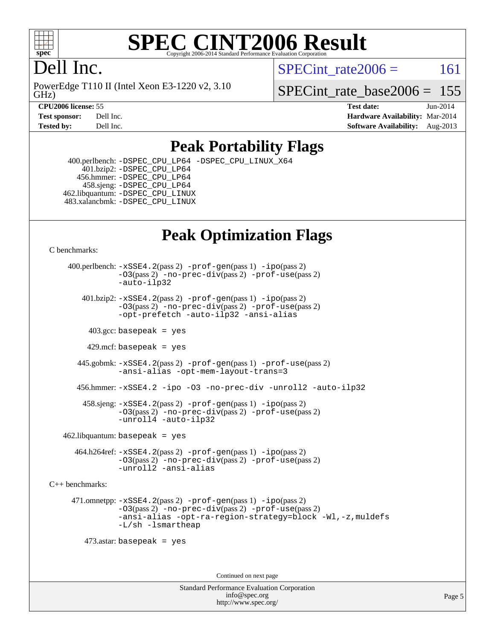

#### **[SPEC CINT2006 Result](http://www.spec.org/auto/cpu2006/Docs/result-fields.html#SPECCINT2006Result)** Copyright 2006-2014 Standard Performance Evaluation C

# Dell Inc.

GHz) PowerEdge T110 II (Intel Xeon E3-1220 v2, 3.10 SPECint rate $2006 = 161$ 

SPECint rate base  $2006 = 155$ 

**[CPU2006 license:](http://www.spec.org/auto/cpu2006/Docs/result-fields.html#CPU2006license)** 55 **[Test date:](http://www.spec.org/auto/cpu2006/Docs/result-fields.html#Testdate)** Jun-2014 **[Test sponsor:](http://www.spec.org/auto/cpu2006/Docs/result-fields.html#Testsponsor)** Dell Inc. **[Hardware Availability:](http://www.spec.org/auto/cpu2006/Docs/result-fields.html#HardwareAvailability)** Mar-2014 **[Tested by:](http://www.spec.org/auto/cpu2006/Docs/result-fields.html#Testedby)** Dell Inc. **[Software Availability:](http://www.spec.org/auto/cpu2006/Docs/result-fields.html#SoftwareAvailability)** Aug-2013

#### **[Peak Portability Flags](http://www.spec.org/auto/cpu2006/Docs/result-fields.html#PeakPortabilityFlags)**

 400.perlbench: [-DSPEC\\_CPU\\_LP64](http://www.spec.org/cpu2006/results/res2014q3/cpu2006-20140616-29920.flags.html#b400.perlbench_peakCPORTABILITY_DSPEC_CPU_LP64) [-DSPEC\\_CPU\\_LINUX\\_X64](http://www.spec.org/cpu2006/results/res2014q3/cpu2006-20140616-29920.flags.html#b400.perlbench_peakCPORTABILITY_DSPEC_CPU_LINUX_X64) 401.bzip2: [-DSPEC\\_CPU\\_LP64](http://www.spec.org/cpu2006/results/res2014q3/cpu2006-20140616-29920.flags.html#suite_peakCPORTABILITY401_bzip2_DSPEC_CPU_LP64) 456.hmmer: [-DSPEC\\_CPU\\_LP64](http://www.spec.org/cpu2006/results/res2014q3/cpu2006-20140616-29920.flags.html#suite_peakCPORTABILITY456_hmmer_DSPEC_CPU_LP64) 458.sjeng: [-DSPEC\\_CPU\\_LP64](http://www.spec.org/cpu2006/results/res2014q3/cpu2006-20140616-29920.flags.html#suite_peakCPORTABILITY458_sjeng_DSPEC_CPU_LP64) 462.libquantum: [-DSPEC\\_CPU\\_LINUX](http://www.spec.org/cpu2006/results/res2014q3/cpu2006-20140616-29920.flags.html#b462.libquantum_peakCPORTABILITY_DSPEC_CPU_LINUX) 483.xalancbmk: [-DSPEC\\_CPU\\_LINUX](http://www.spec.org/cpu2006/results/res2014q3/cpu2006-20140616-29920.flags.html#b483.xalancbmk_peakCXXPORTABILITY_DSPEC_CPU_LINUX)

# **[Peak Optimization Flags](http://www.spec.org/auto/cpu2006/Docs/result-fields.html#PeakOptimizationFlags)**

[C benchmarks](http://www.spec.org/auto/cpu2006/Docs/result-fields.html#Cbenchmarks):

 400.perlbench: [-xSSE4.2](http://www.spec.org/cpu2006/results/res2014q3/cpu2006-20140616-29920.flags.html#user_peakPASS2_CFLAGSPASS2_LDCFLAGS400_perlbench_f-xSSE42_f91528193cf0b216347adb8b939d4107)(pass 2) [-prof-gen](http://www.spec.org/cpu2006/results/res2014q3/cpu2006-20140616-29920.flags.html#user_peakPASS1_CFLAGSPASS1_LDCFLAGS400_perlbench_prof_gen_e43856698f6ca7b7e442dfd80e94a8fc)(pass 1) [-ipo](http://www.spec.org/cpu2006/results/res2014q3/cpu2006-20140616-29920.flags.html#user_peakPASS2_CFLAGSPASS2_LDCFLAGS400_perlbench_f-ipo)(pass 2) [-O3](http://www.spec.org/cpu2006/results/res2014q3/cpu2006-20140616-29920.flags.html#user_peakPASS2_CFLAGSPASS2_LDCFLAGS400_perlbench_f-O3)(pass 2) [-no-prec-div](http://www.spec.org/cpu2006/results/res2014q3/cpu2006-20140616-29920.flags.html#user_peakPASS2_CFLAGSPASS2_LDCFLAGS400_perlbench_f-no-prec-div)(pass 2) [-prof-use](http://www.spec.org/cpu2006/results/res2014q3/cpu2006-20140616-29920.flags.html#user_peakPASS2_CFLAGSPASS2_LDCFLAGS400_perlbench_prof_use_bccf7792157ff70d64e32fe3e1250b55)(pass 2) [-auto-ilp32](http://www.spec.org/cpu2006/results/res2014q3/cpu2006-20140616-29920.flags.html#user_peakCOPTIMIZE400_perlbench_f-auto-ilp32)  $401.bzip2: -xSSE4.2(pass 2) -prof-qen(pass 1) -ipo(pass 2)$  $401.bzip2: -xSSE4.2(pass 2) -prof-qen(pass 1) -ipo(pass 2)$  $401.bzip2: -xSSE4.2(pass 2) -prof-qen(pass 1) -ipo(pass 2)$  $401.bzip2: -xSSE4.2(pass 2) -prof-qen(pass 1) -ipo(pass 2)$  $401.bzip2: -xSSE4.2(pass 2) -prof-qen(pass 1) -ipo(pass 2)$ [-O3](http://www.spec.org/cpu2006/results/res2014q3/cpu2006-20140616-29920.flags.html#user_peakPASS2_CFLAGSPASS2_LDCFLAGS401_bzip2_f-O3)(pass 2) [-no-prec-div](http://www.spec.org/cpu2006/results/res2014q3/cpu2006-20140616-29920.flags.html#user_peakPASS2_CFLAGSPASS2_LDCFLAGS401_bzip2_f-no-prec-div)(pass 2) [-prof-use](http://www.spec.org/cpu2006/results/res2014q3/cpu2006-20140616-29920.flags.html#user_peakPASS2_CFLAGSPASS2_LDCFLAGS401_bzip2_prof_use_bccf7792157ff70d64e32fe3e1250b55)(pass 2) [-opt-prefetch](http://www.spec.org/cpu2006/results/res2014q3/cpu2006-20140616-29920.flags.html#user_peakCOPTIMIZE401_bzip2_f-opt-prefetch) [-auto-ilp32](http://www.spec.org/cpu2006/results/res2014q3/cpu2006-20140616-29920.flags.html#user_peakCOPTIMIZE401_bzip2_f-auto-ilp32) [-ansi-alias](http://www.spec.org/cpu2006/results/res2014q3/cpu2006-20140616-29920.flags.html#user_peakCOPTIMIZE401_bzip2_f-ansi-alias)  $403.\text{sec: basepeak}$  = yes 429.mcf: basepeak = yes 445.gobmk: [-xSSE4.2](http://www.spec.org/cpu2006/results/res2014q3/cpu2006-20140616-29920.flags.html#user_peakPASS2_CFLAGSPASS2_LDCFLAGS445_gobmk_f-xSSE42_f91528193cf0b216347adb8b939d4107)(pass 2) [-prof-gen](http://www.spec.org/cpu2006/results/res2014q3/cpu2006-20140616-29920.flags.html#user_peakPASS1_CFLAGSPASS1_LDCFLAGS445_gobmk_prof_gen_e43856698f6ca7b7e442dfd80e94a8fc)(pass 1) [-prof-use](http://www.spec.org/cpu2006/results/res2014q3/cpu2006-20140616-29920.flags.html#user_peakPASS2_CFLAGSPASS2_LDCFLAGS445_gobmk_prof_use_bccf7792157ff70d64e32fe3e1250b55)(pass 2) [-ansi-alias](http://www.spec.org/cpu2006/results/res2014q3/cpu2006-20140616-29920.flags.html#user_peakCOPTIMIZE445_gobmk_f-ansi-alias) [-opt-mem-layout-trans=3](http://www.spec.org/cpu2006/results/res2014q3/cpu2006-20140616-29920.flags.html#user_peakCOPTIMIZE445_gobmk_f-opt-mem-layout-trans_a7b82ad4bd7abf52556d4961a2ae94d5) 456.hmmer: [-xSSE4.2](http://www.spec.org/cpu2006/results/res2014q3/cpu2006-20140616-29920.flags.html#user_peakCOPTIMIZE456_hmmer_f-xSSE42_f91528193cf0b216347adb8b939d4107) [-ipo](http://www.spec.org/cpu2006/results/res2014q3/cpu2006-20140616-29920.flags.html#user_peakCOPTIMIZE456_hmmer_f-ipo) [-O3](http://www.spec.org/cpu2006/results/res2014q3/cpu2006-20140616-29920.flags.html#user_peakCOPTIMIZE456_hmmer_f-O3) [-no-prec-div](http://www.spec.org/cpu2006/results/res2014q3/cpu2006-20140616-29920.flags.html#user_peakCOPTIMIZE456_hmmer_f-no-prec-div) [-unroll2](http://www.spec.org/cpu2006/results/res2014q3/cpu2006-20140616-29920.flags.html#user_peakCOPTIMIZE456_hmmer_f-unroll_784dae83bebfb236979b41d2422d7ec2) [-auto-ilp32](http://www.spec.org/cpu2006/results/res2014q3/cpu2006-20140616-29920.flags.html#user_peakCOPTIMIZE456_hmmer_f-auto-ilp32) 458.sjeng: [-xSSE4.2](http://www.spec.org/cpu2006/results/res2014q3/cpu2006-20140616-29920.flags.html#user_peakPASS2_CFLAGSPASS2_LDCFLAGS458_sjeng_f-xSSE42_f91528193cf0b216347adb8b939d4107)(pass 2) [-prof-gen](http://www.spec.org/cpu2006/results/res2014q3/cpu2006-20140616-29920.flags.html#user_peakPASS1_CFLAGSPASS1_LDCFLAGS458_sjeng_prof_gen_e43856698f6ca7b7e442dfd80e94a8fc)(pass 1) [-ipo](http://www.spec.org/cpu2006/results/res2014q3/cpu2006-20140616-29920.flags.html#user_peakPASS2_CFLAGSPASS2_LDCFLAGS458_sjeng_f-ipo)(pass 2) [-O3](http://www.spec.org/cpu2006/results/res2014q3/cpu2006-20140616-29920.flags.html#user_peakPASS2_CFLAGSPASS2_LDCFLAGS458_sjeng_f-O3)(pass 2) [-no-prec-div](http://www.spec.org/cpu2006/results/res2014q3/cpu2006-20140616-29920.flags.html#user_peakPASS2_CFLAGSPASS2_LDCFLAGS458_sjeng_f-no-prec-div)(pass 2) [-prof-use](http://www.spec.org/cpu2006/results/res2014q3/cpu2006-20140616-29920.flags.html#user_peakPASS2_CFLAGSPASS2_LDCFLAGS458_sjeng_prof_use_bccf7792157ff70d64e32fe3e1250b55)(pass 2) [-unroll4](http://www.spec.org/cpu2006/results/res2014q3/cpu2006-20140616-29920.flags.html#user_peakCOPTIMIZE458_sjeng_f-unroll_4e5e4ed65b7fd20bdcd365bec371b81f) [-auto-ilp32](http://www.spec.org/cpu2006/results/res2014q3/cpu2006-20140616-29920.flags.html#user_peakCOPTIMIZE458_sjeng_f-auto-ilp32)  $462$ .libquantum: basepeak = yes 464.h264ref: [-xSSE4.2](http://www.spec.org/cpu2006/results/res2014q3/cpu2006-20140616-29920.flags.html#user_peakPASS2_CFLAGSPASS2_LDCFLAGS464_h264ref_f-xSSE42_f91528193cf0b216347adb8b939d4107)(pass 2) [-prof-gen](http://www.spec.org/cpu2006/results/res2014q3/cpu2006-20140616-29920.flags.html#user_peakPASS1_CFLAGSPASS1_LDCFLAGS464_h264ref_prof_gen_e43856698f6ca7b7e442dfd80e94a8fc)(pass 1) [-ipo](http://www.spec.org/cpu2006/results/res2014q3/cpu2006-20140616-29920.flags.html#user_peakPASS2_CFLAGSPASS2_LDCFLAGS464_h264ref_f-ipo)(pass 2) [-O3](http://www.spec.org/cpu2006/results/res2014q3/cpu2006-20140616-29920.flags.html#user_peakPASS2_CFLAGSPASS2_LDCFLAGS464_h264ref_f-O3)(pass 2) [-no-prec-div](http://www.spec.org/cpu2006/results/res2014q3/cpu2006-20140616-29920.flags.html#user_peakPASS2_CFLAGSPASS2_LDCFLAGS464_h264ref_f-no-prec-div)(pass 2) [-prof-use](http://www.spec.org/cpu2006/results/res2014q3/cpu2006-20140616-29920.flags.html#user_peakPASS2_CFLAGSPASS2_LDCFLAGS464_h264ref_prof_use_bccf7792157ff70d64e32fe3e1250b55)(pass 2) [-unroll2](http://www.spec.org/cpu2006/results/res2014q3/cpu2006-20140616-29920.flags.html#user_peakCOPTIMIZE464_h264ref_f-unroll_784dae83bebfb236979b41d2422d7ec2) [-ansi-alias](http://www.spec.org/cpu2006/results/res2014q3/cpu2006-20140616-29920.flags.html#user_peakCOPTIMIZE464_h264ref_f-ansi-alias) [C++ benchmarks:](http://www.spec.org/auto/cpu2006/Docs/result-fields.html#CXXbenchmarks) 471.omnetpp: [-xSSE4.2](http://www.spec.org/cpu2006/results/res2014q3/cpu2006-20140616-29920.flags.html#user_peakPASS2_CXXFLAGSPASS2_LDCXXFLAGS471_omnetpp_f-xSSE42_f91528193cf0b216347adb8b939d4107)(pass 2) [-prof-gen](http://www.spec.org/cpu2006/results/res2014q3/cpu2006-20140616-29920.flags.html#user_peakPASS1_CXXFLAGSPASS1_LDCXXFLAGS471_omnetpp_prof_gen_e43856698f6ca7b7e442dfd80e94a8fc)(pass 1) [-ipo](http://www.spec.org/cpu2006/results/res2014q3/cpu2006-20140616-29920.flags.html#user_peakPASS2_CXXFLAGSPASS2_LDCXXFLAGS471_omnetpp_f-ipo)(pass 2) [-O3](http://www.spec.org/cpu2006/results/res2014q3/cpu2006-20140616-29920.flags.html#user_peakPASS2_CXXFLAGSPASS2_LDCXXFLAGS471_omnetpp_f-O3)(pass 2) [-no-prec-div](http://www.spec.org/cpu2006/results/res2014q3/cpu2006-20140616-29920.flags.html#user_peakPASS2_CXXFLAGSPASS2_LDCXXFLAGS471_omnetpp_f-no-prec-div)(pass 2) [-prof-use](http://www.spec.org/cpu2006/results/res2014q3/cpu2006-20140616-29920.flags.html#user_peakPASS2_CXXFLAGSPASS2_LDCXXFLAGS471_omnetpp_prof_use_bccf7792157ff70d64e32fe3e1250b55)(pass 2) [-ansi-alias](http://www.spec.org/cpu2006/results/res2014q3/cpu2006-20140616-29920.flags.html#user_peakCXXOPTIMIZE471_omnetpp_f-ansi-alias) [-opt-ra-region-strategy=block](http://www.spec.org/cpu2006/results/res2014q3/cpu2006-20140616-29920.flags.html#user_peakCXXOPTIMIZE471_omnetpp_f-opt-ra-region-strategy_a0a37c372d03933b2a18d4af463c1f69) [-Wl,-z,muldefs](http://www.spec.org/cpu2006/results/res2014q3/cpu2006-20140616-29920.flags.html#user_peakEXTRA_LDFLAGS471_omnetpp_link_force_multiple1_74079c344b956b9658436fd1b6dd3a8a) [-L/sh -lsmartheap](http://www.spec.org/cpu2006/results/res2014q3/cpu2006-20140616-29920.flags.html#user_peakEXTRA_LIBS471_omnetpp_SmartHeap_32f6c82aa1ed9c52345d30cf6e4a0499) 473.astar: basepeak = yes

Continued on next page

Standard Performance Evaluation Corporation [info@spec.org](mailto:info@spec.org) <http://www.spec.org/>